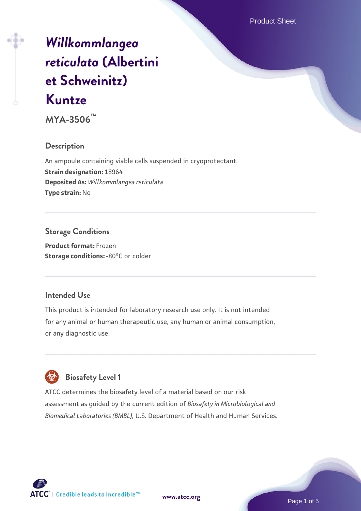# *[Willkommlangea](https://www.atcc.org/products/mya-3506) [reticulata](https://www.atcc.org/products/mya-3506)* **[\(Albertini](https://www.atcc.org/products/mya-3506) [et Schweinitz\)](https://www.atcc.org/products/mya-3506) [Kuntze](https://www.atcc.org/products/mya-3506)**

**MYA-3506™**

### **Description**

An ampoule containing viable cells suspended in cryoprotectant. **Strain designation:** 18964 **Deposited As:** *Willkommlangea reticulata* **Type strain:** No

### **Storage Conditions**

**Product format:** Frozen **Storage conditions: -80°C or colder** 

### **Intended Use**

This product is intended for laboratory research use only. It is not intended for any animal or human therapeutic use, any human or animal consumption, or any diagnostic use.

# **Biosafety Level 1**

ATCC determines the biosafety level of a material based on our risk assessment as guided by the current edition of *Biosafety in Microbiological and Biomedical Laboratories (BMBL)*, U.S. Department of Health and Human Services.

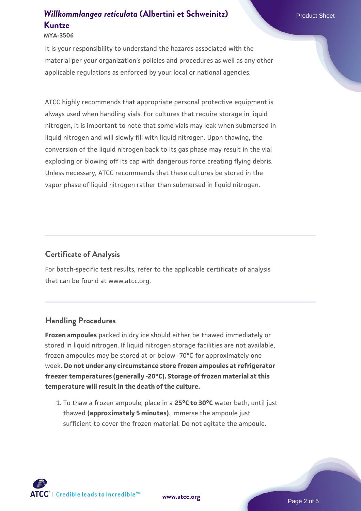#### **MYA-3506**

It is your responsibility to understand the hazards associated with the material per your organization's policies and procedures as well as any other applicable regulations as enforced by your local or national agencies.

ATCC highly recommends that appropriate personal protective equipment is always used when handling vials. For cultures that require storage in liquid nitrogen, it is important to note that some vials may leak when submersed in liquid nitrogen and will slowly fill with liquid nitrogen. Upon thawing, the conversion of the liquid nitrogen back to its gas phase may result in the vial exploding or blowing off its cap with dangerous force creating flying debris. Unless necessary, ATCC recommends that these cultures be stored in the vapor phase of liquid nitrogen rather than submersed in liquid nitrogen.

## **Certificate of Analysis**

For batch-specific test results, refer to the applicable certificate of analysis that can be found at www.atcc.org.

#### **Handling Procedures**

**Frozen ampoules** packed in dry ice should either be thawed immediately or stored in liquid nitrogen. If liquid nitrogen storage facilities are not available, frozen ampoules may be stored at or below -70°C for approximately one week. **Do not under any circumstance store frozen ampoules at refrigerator freezer temperatures (generally -20°C). Storage of frozen material at this temperature will result in the death of the culture.**

1. To thaw a frozen ampoule, place in a **25°C to 30°C** water bath, until just thawed **(approximately 5 minutes)**. Immerse the ampoule just sufficient to cover the frozen material. Do not agitate the ampoule.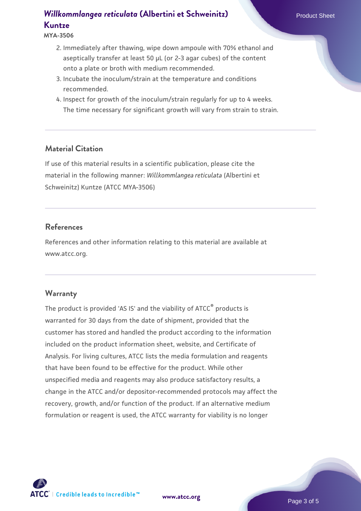**MYA-3506**

- 2. Immediately after thawing, wipe down ampoule with 70% ethanol and aseptically transfer at least 50 µL (or 2-3 agar cubes) of the content onto a plate or broth with medium recommended.
- 3. Incubate the inoculum/strain at the temperature and conditions recommended.
- 4. Inspect for growth of the inoculum/strain regularly for up to 4 weeks. The time necessary for significant growth will vary from strain to strain.

### **Material Citation**

If use of this material results in a scientific publication, please cite the material in the following manner: *Willkommlangea reticulata* (Albertini et Schweinitz) Kuntze (ATCC MYA-3506)

#### **References**

References and other information relating to this material are available at www.atcc.org.

#### **Warranty**

The product is provided 'AS IS' and the viability of ATCC® products is warranted for 30 days from the date of shipment, provided that the customer has stored and handled the product according to the information included on the product information sheet, website, and Certificate of Analysis. For living cultures, ATCC lists the media formulation and reagents that have been found to be effective for the product. While other unspecified media and reagents may also produce satisfactory results, a change in the ATCC and/or depositor-recommended protocols may affect the recovery, growth, and/or function of the product. If an alternative medium formulation or reagent is used, the ATCC warranty for viability is no longer

**[www.atcc.org](http://www.atcc.org)**

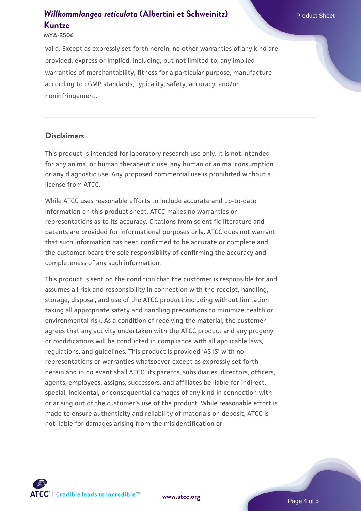#### **MYA-3506**

valid. Except as expressly set forth herein, no other warranties of any kind are provided, express or implied, including, but not limited to, any implied warranties of merchantability, fitness for a particular purpose, manufacture according to cGMP standards, typicality, safety, accuracy, and/or noninfringement.

#### **Disclaimers**

This product is intended for laboratory research use only. It is not intended for any animal or human therapeutic use, any human or animal consumption, or any diagnostic use. Any proposed commercial use is prohibited without a license from ATCC.

While ATCC uses reasonable efforts to include accurate and up-to-date information on this product sheet, ATCC makes no warranties or representations as to its accuracy. Citations from scientific literature and patents are provided for informational purposes only. ATCC does not warrant that such information has been confirmed to be accurate or complete and the customer bears the sole responsibility of confirming the accuracy and completeness of any such information.

This product is sent on the condition that the customer is responsible for and assumes all risk and responsibility in connection with the receipt, handling, storage, disposal, and use of the ATCC product including without limitation taking all appropriate safety and handling precautions to minimize health or environmental risk. As a condition of receiving the material, the customer agrees that any activity undertaken with the ATCC product and any progeny or modifications will be conducted in compliance with all applicable laws, regulations, and guidelines. This product is provided 'AS IS' with no representations or warranties whatsoever except as expressly set forth herein and in no event shall ATCC, its parents, subsidiaries, directors, officers, agents, employees, assigns, successors, and affiliates be liable for indirect, special, incidental, or consequential damages of any kind in connection with or arising out of the customer's use of the product. While reasonable effort is made to ensure authenticity and reliability of materials on deposit, ATCC is not liable for damages arising from the misidentification or